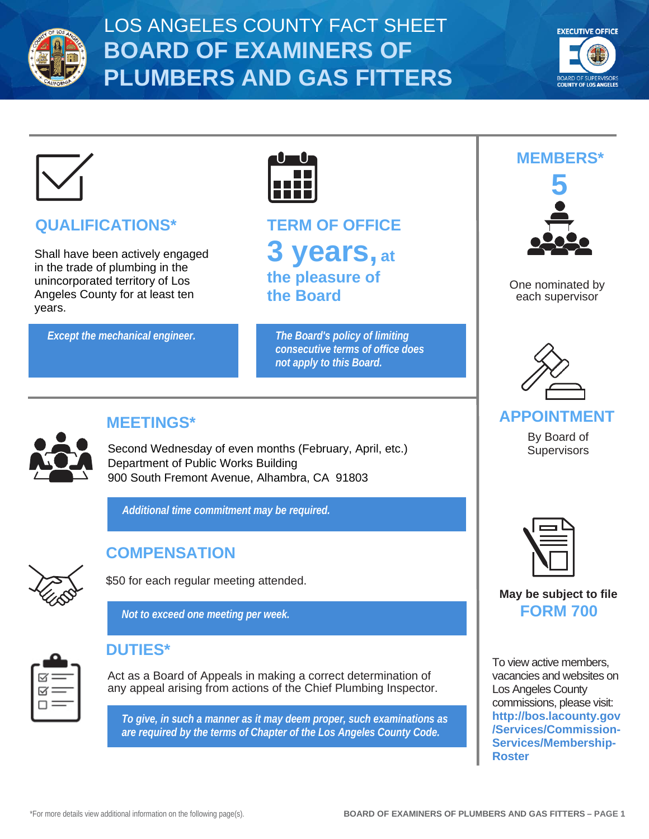



# **QUALIFICATIONS\***

Shall have been actively engaged in the trade of plumbing in the unincorporated territory of Los Angeles County for at least ten years.

*Except the mechanical engineer. The Board's policy of limiting* 



**TERM OF OFFICE 3 years, at the pleasure of the Board**

*consecutive terms of office does not apply to this Board.*



# **MEETINGS\***

Second Wednesday of even months (February, April, etc.) Supervisors Department of Public Works Building 900 South Fremont Avenue, Alhambra, CA 91803

*Additional time commitment may be required.*



# **COMPENSATION**

\$50 for each regular meeting attended.

*Not to exceed one meeting per week.*



## **DUTIES\***

Act as a Board of Appeals in making a correct determination of any appeal arising from actions of the Chief Plumbing Inspector.

*To give, in such a manner as it may deem proper, such examinations as are required by the terms of Chapter of the Los Angeles County Code.*



One nominated by each supervisor



#### **APPOINTMENT**

By Board of



#### **May be subject to file FORM 700**

To view active members, vacancies and websites on Los Angeles County commissions, please visit: **[http://bos.lacounty.gov](http://bos.lacounty.gov/Services/Commission-Services/Membership-Roster) [/Services/Commission-](http://bos.lacounty.gov/Services/Commission-Services/Membership-Roster)[Services/Membership-](http://bos.lacounty.gov/Services/Commission-Services/Membership-Roster)[Roster](http://bos.lacounty.gov/Services/Commission-Services/Membership-Roster)**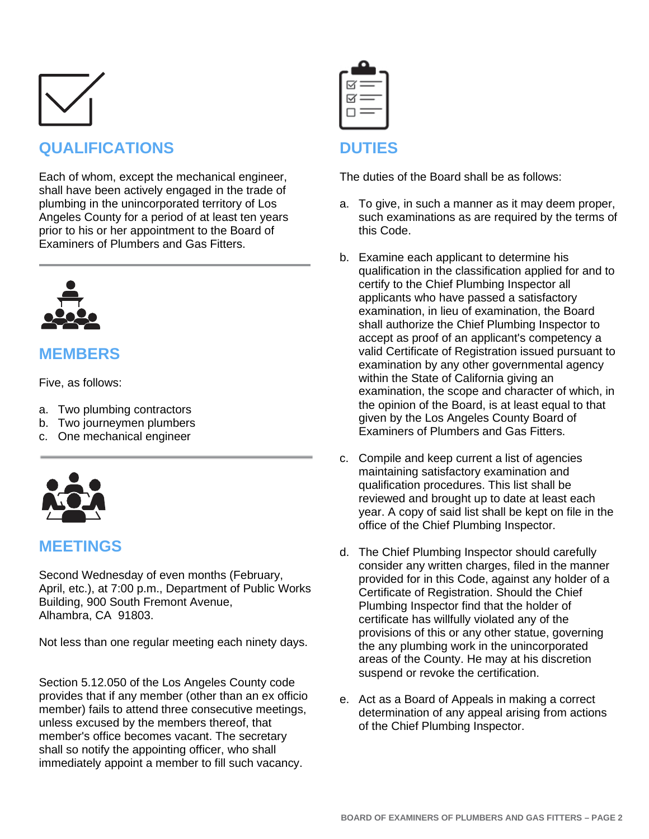

# **QUALIFICATIONS**

Each of whom, except the mechanical engineer, shall have been actively engaged in the trade of plumbing in the unincorporated territory of Los Angeles County for a period of at least ten years prior to his or her appointment to the Board of Examiners of Plumbers and Gas Fitters.



## **MEMBERS**

Five, as follows:

- a. Two plumbing contractors
- b. Two journeymen plumbers
- c. One mechanical engineer



#### **MEETINGS**

Second Wednesday of even months (February, April, etc.), at 7:00 p.m., Department of Public Works Building, 900 South Fremont Avenue, Alhambra, CA 91803.

Not less than one regular meeting each ninety days.

Section 5.12.050 of the Los Angeles County code provides that if any member (other than an ex officio member) fails to attend three consecutive meetings, unless excused by the members thereof, that member's office becomes vacant. The secretary shall so notify the appointing officer, who shall immediately appoint a member to fill such vacancy.

| $\mathord{\boxtimes}$ $=$ |  |
|---------------------------|--|
| $\mathbb{R} =$            |  |
|                           |  |
|                           |  |

## **DUTIES**

The duties of the Board shall be as follows:

- a. To give, in such a manner as it may deem proper, such examinations as are required by the terms of this Code.
- b. Examine each applicant to determine his qualification in the classification applied for and to certify to the Chief Plumbing Inspector all applicants who have passed a satisfactory examination, in lieu of examination, the Board shall authorize the Chief Plumbing Inspector to accept as proof of an applicant's competency a valid Certificate of Registration issued pursuant to examination by any other governmental agency within the State of California giving an examination, the scope and character of which, in the opinion of the Board, is at least equal to that given by the Los Angeles County Board of Examiners of Plumbers and Gas Fitters.
- c. Compile and keep current a list of agencies maintaining satisfactory examination and qualification procedures. This list shall be reviewed and brought up to date at least each year. A copy of said list shall be kept on file in the office of the Chief Plumbing Inspector.
- d. The Chief Plumbing Inspector should carefully consider any written charges, filed in the manner provided for in this Code, against any holder of a Certificate of Registration. Should the Chief Plumbing Inspector find that the holder of certificate has willfully violated any of the provisions of this or any other statue, governing the any plumbing work in the unincorporated areas of the County. He may at his discretion suspend or revoke the certification.
- e. Act as a Board of Appeals in making a correct determination of any appeal arising from actions of the Chief Plumbing Inspector.